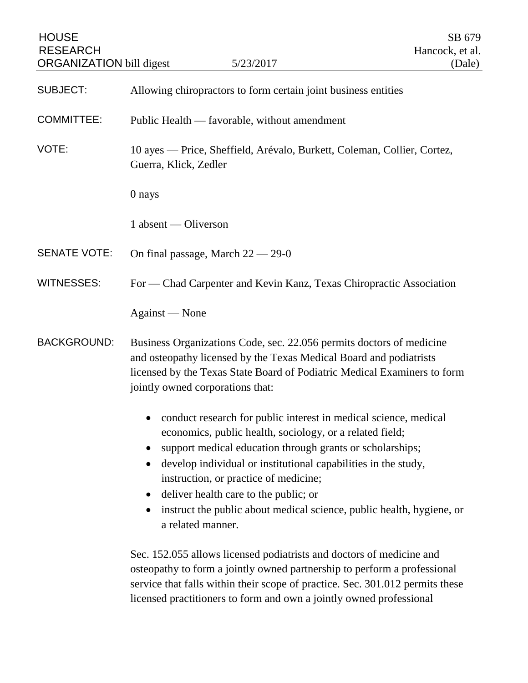| <b>HOUSE</b><br><b>RESEARCH</b><br><b>ORGANIZATION</b> bill digest | 5/23/2017                                                                                                                                                                                                                                                                                                                                                                                                                                                                                       | SB 679<br>Hancock, et al.<br>(Dale) |
|--------------------------------------------------------------------|-------------------------------------------------------------------------------------------------------------------------------------------------------------------------------------------------------------------------------------------------------------------------------------------------------------------------------------------------------------------------------------------------------------------------------------------------------------------------------------------------|-------------------------------------|
| <b>SUBJECT:</b>                                                    | Allowing chiropractors to form certain joint business entities                                                                                                                                                                                                                                                                                                                                                                                                                                  |                                     |
| <b>COMMITTEE:</b>                                                  | Public Health — favorable, without amendment                                                                                                                                                                                                                                                                                                                                                                                                                                                    |                                     |
| VOTE:                                                              | 10 ayes — Price, Sheffield, Arévalo, Burkett, Coleman, Collier, Cortez,<br>Guerra, Klick, Zedler                                                                                                                                                                                                                                                                                                                                                                                                |                                     |
|                                                                    | 0 nays                                                                                                                                                                                                                                                                                                                                                                                                                                                                                          |                                     |
|                                                                    | 1 absent — Oliverson                                                                                                                                                                                                                                                                                                                                                                                                                                                                            |                                     |
| <b>SENATE VOTE:</b>                                                | On final passage, March $22 - 29 - 0$                                                                                                                                                                                                                                                                                                                                                                                                                                                           |                                     |
| <b>WITNESSES:</b>                                                  | For — Chad Carpenter and Kevin Kanz, Texas Chiropractic Association                                                                                                                                                                                                                                                                                                                                                                                                                             |                                     |
|                                                                    | Against — None                                                                                                                                                                                                                                                                                                                                                                                                                                                                                  |                                     |
| <b>BACKGROUND:</b>                                                 | Business Organizations Code, sec. 22.056 permits doctors of medicine<br>and osteopathy licensed by the Texas Medical Board and podiatrists<br>licensed by the Texas State Board of Podiatric Medical Examiners to form<br>jointly owned corporations that:                                                                                                                                                                                                                                      |                                     |
|                                                                    | conduct research for public interest in medical science, medical<br>economics, public health, sociology, or a related field;<br>support medical education through grants or scholarships;<br>$\bullet$<br>develop individual or institutional capabilities in the study,<br>$\bullet$<br>instruction, or practice of medicine;<br>deliver health care to the public; or<br>$\bullet$<br>instruct the public about medical science, public health, hygiene, or<br>$\bullet$<br>a related manner. |                                     |
|                                                                    | Sec. 152.055 allows licensed podiatrists and doctors of medicine and<br>osteopathy to form a jointly owned partnership to perform a professional<br>service that falls within their scope of practice. Sec. 301.012 permits these<br>licensed practitioners to form and own a jointly owned professional                                                                                                                                                                                        |                                     |